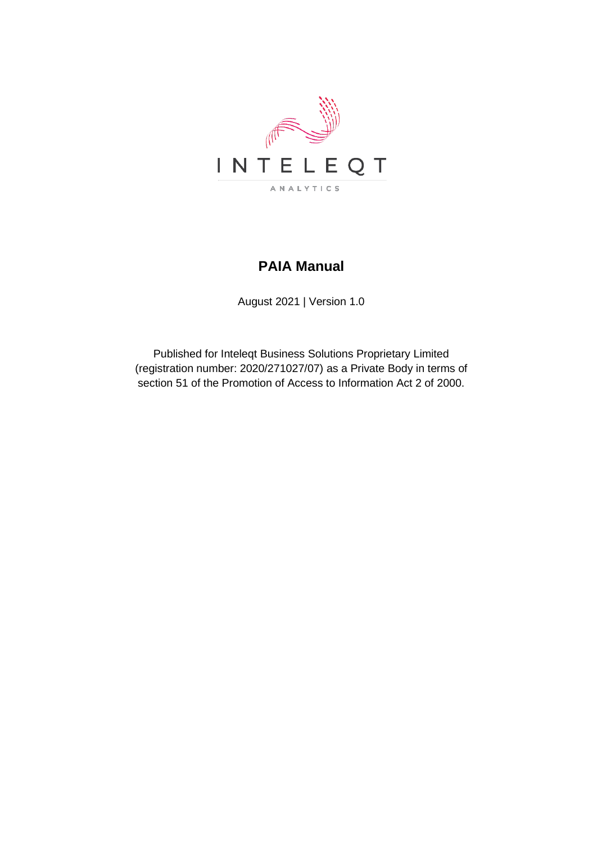

# **PAIA Manual**

August 2021 | Version 1.0

Published for Inteleqt Business Solutions Proprietary Limited (registration number: 2020/271027/07) as a Private Body in terms of section 51 of the Promotion of Access to Information Act 2 of 2000.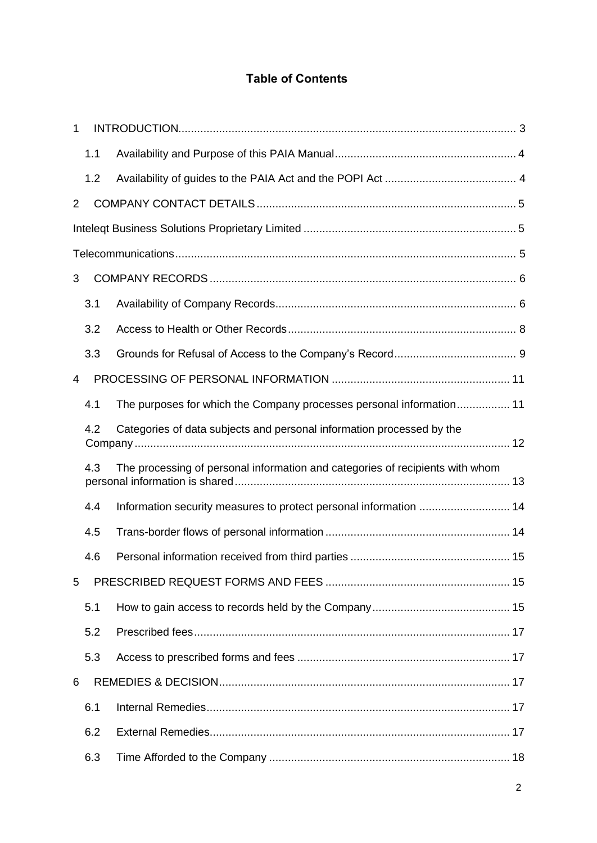## **Table of Contents**

| 1              |     |                                                                               |  |
|----------------|-----|-------------------------------------------------------------------------------|--|
|                | 1.1 |                                                                               |  |
|                | 1.2 |                                                                               |  |
| $\overline{2}$ |     |                                                                               |  |
|                |     |                                                                               |  |
|                |     |                                                                               |  |
| 3              |     |                                                                               |  |
|                | 3.1 |                                                                               |  |
|                | 3.2 |                                                                               |  |
|                | 3.3 |                                                                               |  |
| 4              |     |                                                                               |  |
|                | 4.1 | The purposes for which the Company processes personal information 11          |  |
|                | 4.2 | Categories of data subjects and personal information processed by the         |  |
|                | 4.3 | The processing of personal information and categories of recipients with whom |  |
|                | 4.4 | Information security measures to protect personal information  14             |  |
|                | 4.5 |                                                                               |  |
|                | 4.6 |                                                                               |  |
| 5              |     |                                                                               |  |
|                | 5.1 |                                                                               |  |
|                | 5.2 |                                                                               |  |
|                | 5.3 |                                                                               |  |
| 6              |     |                                                                               |  |
|                | 6.1 |                                                                               |  |
|                | 6.2 |                                                                               |  |
|                | 6.3 |                                                                               |  |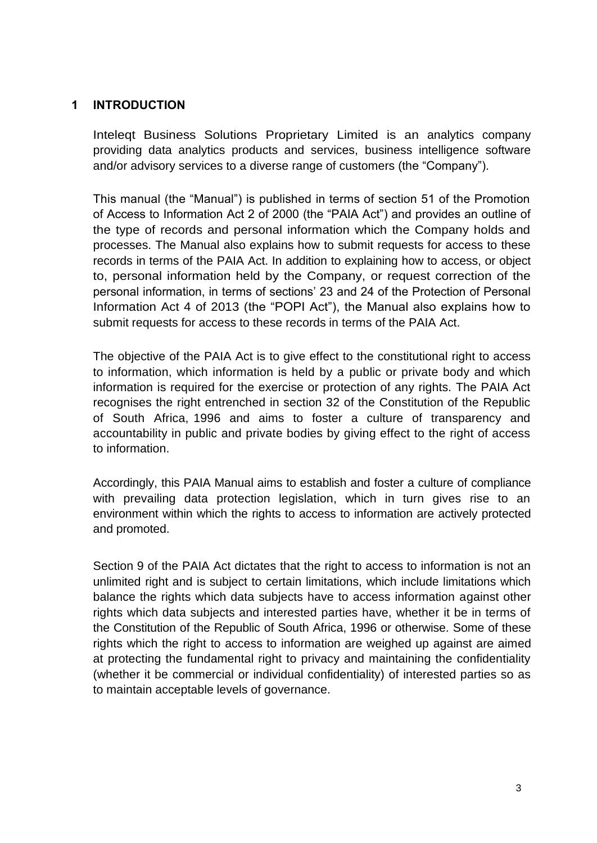### **1 INTRODUCTION**

Inteleqt Business Solutions Proprietary Limited is an analytics company providing data analytics products and services, business intelligence software and/or advisory services to a diverse range of customers (the "Company").

This manual (the "Manual") is published in terms of section 51 of the Promotion of Access to Information Act 2 of 2000 (the "PAIA Act") and provides an outline of the type of records and personal information which the Company holds and processes. The Manual also explains how to submit requests for access to these records in terms of the PAIA Act. In addition to explaining how to access, or object to, personal information held by the Company, or request correction of the personal information, in terms of sections' 23 and 24 of the Protection of Personal Information Act 4 of 2013 (the "POPI Act"), the Manual also explains how to submit requests for access to these records in terms of the PAIA Act.

The objective of the PAIA Act is to give effect to the constitutional right to access to information, which information is held by a public or private body and which information is required for the exercise or protection of any rights. The PAIA Act recognises the right entrenched in section 32 of the Constitution of the Republic of South Africa, 1996 and aims to foster a culture of transparency and accountability in public and private bodies by giving effect to the right of access to information.

Accordingly, this PAIA Manual aims to establish and foster a culture of compliance with prevailing data protection legislation, which in turn gives rise to an environment within which the rights to access to information are actively protected and promoted.

Section 9 of the PAIA Act dictates that the right to access to information is not an unlimited right and is subject to certain limitations, which include limitations which balance the rights which data subjects have to access information against other rights which data subjects and interested parties have, whether it be in terms of the Constitution of the Republic of South Africa, 1996 or otherwise. Some of these rights which the right to access to information are weighed up against are aimed at protecting the fundamental right to privacy and maintaining the confidentiality (whether it be commercial or individual confidentiality) of interested parties so as to maintain acceptable levels of governance.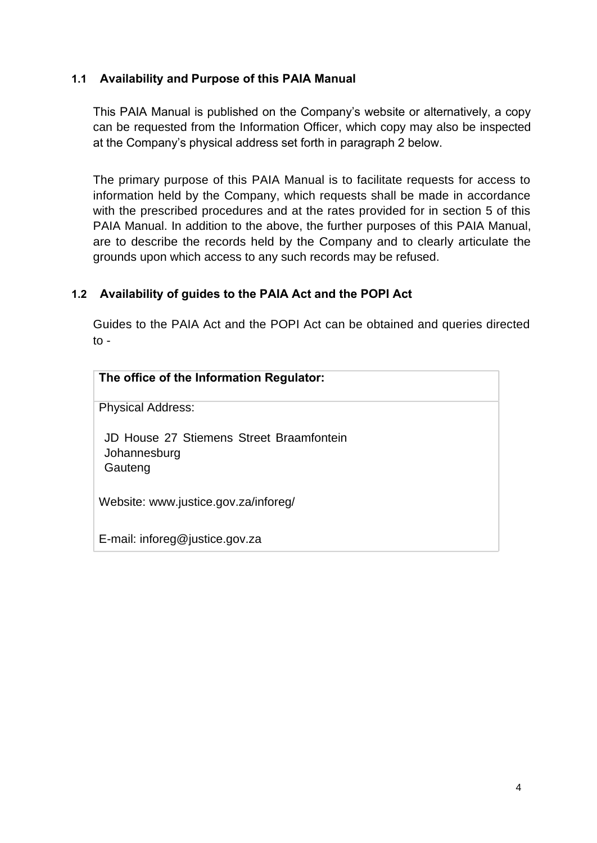### **1.1 Availability and Purpose of this PAIA Manual**

This PAIA Manual is published on the Company's website or alternatively, a copy can be requested from the Information Officer, which copy may also be inspected at the Company's physical address set forth in paragraph 2 below.

The primary purpose of this PAIA Manual is to facilitate requests for access to information held by the Company, which requests shall be made in accordance with the prescribed procedures and at the rates provided for in section 5 of this PAIA Manual. In addition to the above, the further purposes of this PAIA Manual, are to describe the records held by the Company and to clearly articulate the grounds upon which access to any such records may be refused.

## **1.2 Availability of guides to the PAIA Act and the POPI Act**

Guides to the PAIA Act and the POPI Act can be obtained and queries directed to -

| The office of the Information Regulator:                            |
|---------------------------------------------------------------------|
| <b>Physical Address:</b>                                            |
| JD House 27 Stiemens Street Braamfontein<br>Johannesburg<br>Gauteng |
| Website: www.justice.gov.za/inforeg/                                |
| E-mail: inforeg@justice.gov.za                                      |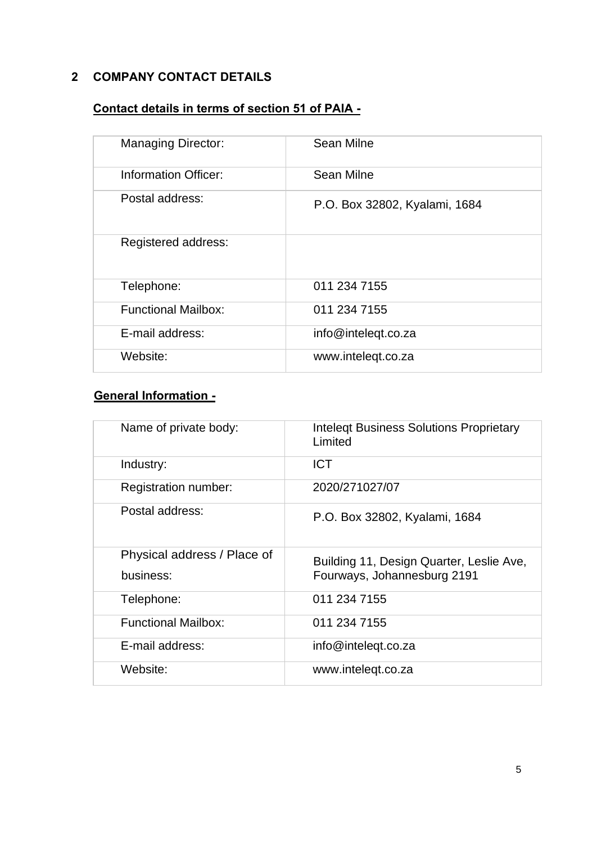# **2 COMPANY CONTACT DETAILS**

# **Contact details in terms of section 51 of PAIA -**

| <b>Managing Director:</b>  | <b>Sean Milne</b>             |
|----------------------------|-------------------------------|
| Information Officer:       | Sean Milne                    |
| Postal address:            | P.O. Box 32802, Kyalami, 1684 |
| Registered address:        |                               |
| Telephone:                 | 011 234 7155                  |
| <b>Functional Mailbox:</b> | 011 234 7155                  |
| E-mail address:            | info@inteleqt.co.za           |
| Website:                   | www.intelegt.co.za            |

## **General Information -**

| Name of private body:                    | <b>Intelegt Business Solutions Proprietary</b><br>Limited               |
|------------------------------------------|-------------------------------------------------------------------------|
| Industry:                                | <b>ICT</b>                                                              |
| Registration number:                     | 2020/271027/07                                                          |
| Postal address:                          | P.O. Box 32802, Kyalami, 1684                                           |
| Physical address / Place of<br>business: | Building 11, Design Quarter, Leslie Ave,<br>Fourways, Johannesburg 2191 |
| Telephone:                               | 011 234 7155                                                            |
| <b>Functional Mailbox:</b>               | 011 234 7155                                                            |
| E-mail address:                          | info@intelegt.co.za                                                     |
| Website:                                 | www.intelegt.co.za                                                      |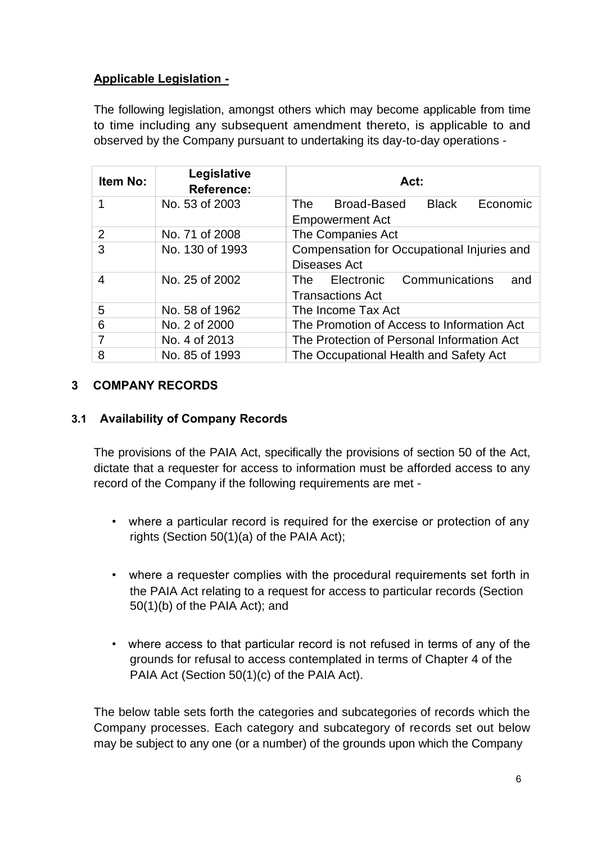## **Applicable Legislation -**

The following legislation, amongst others which may become applicable from time to time including any subsequent amendment thereto, is applicable to and observed by the Company pursuant to undertaking its day-to-day operations -

| Item No: | Legislative<br><b>Reference:</b> | Act:                                                                       |  |  |  |  |  |  |
|----------|----------------------------------|----------------------------------------------------------------------------|--|--|--|--|--|--|
|          | No. 53 of 2003                   | Broad-Based<br><b>Black</b><br>Economic<br>The T<br><b>Empowerment Act</b> |  |  |  |  |  |  |
| 2        | No. 71 of 2008                   | The Companies Act                                                          |  |  |  |  |  |  |
| 3        | No. 130 of 1993                  | Compensation for Occupational Injuries and<br>Diseases Act                 |  |  |  |  |  |  |
| 4        | No. 25 of 2002                   | Electronic Communications<br>and<br>The<br><b>Transactions Act</b>         |  |  |  |  |  |  |
| 5        | No. 58 of 1962                   | The Income Tax Act                                                         |  |  |  |  |  |  |
| 6        | No. 2 of 2000                    | The Promotion of Access to Information Act                                 |  |  |  |  |  |  |
|          | No. 4 of 2013                    | The Protection of Personal Information Act                                 |  |  |  |  |  |  |
| 8        | No. 85 of 1993                   | The Occupational Health and Safety Act                                     |  |  |  |  |  |  |

### **3 COMPANY RECORDS**

#### **3.1 Availability of Company Records**

The provisions of the PAIA Act, specifically the provisions of section 50 of the Act, dictate that a requester for access to information must be afforded access to any record of the Company if the following requirements are met -

- where a particular record is required for the exercise or protection of any rights (Section 50(1)(a) of the PAIA Act);
- where a requester complies with the procedural requirements set forth in the PAIA Act relating to a request for access to particular records (Section 50(1)(b) of the PAIA Act); and
- where access to that particular record is not refused in terms of any of the grounds for refusal to access contemplated in terms of Chapter 4 of the PAIA Act (Section 50(1)(c) of the PAIA Act).

The below table sets forth the categories and subcategories of records which the Company processes. Each category and subcategory of records set out below may be subject to any one (or a number) of the grounds upon which the Company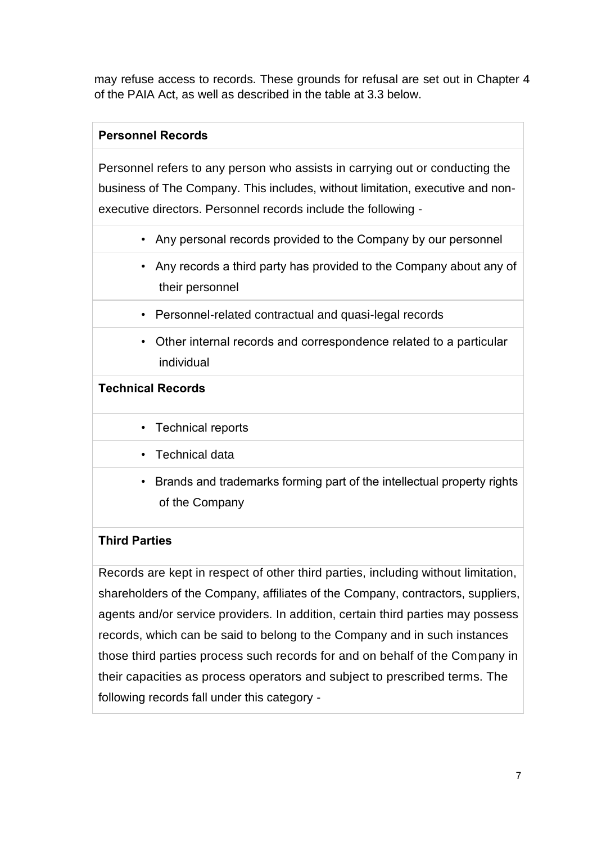may refuse access to records. These grounds for refusal are set out in Chapter 4 of the PAIA Act, as well as described in the table at 3.3 below.

## **Personnel Records**

Personnel refers to any person who assists in carrying out or conducting the business of The Company. This includes, without limitation, executive and nonexecutive directors. Personnel records include the following -

- Any personal records provided to the Company by our personnel
- Any records a third party has provided to the Company about any of their personnel
- Personnel-related contractual and quasi-legal records
- Other internal records and correspondence related to a particular individual

## **Technical Records**

- Technical reports
- Technical data
- Brands and trademarks forming part of the intellectual property rights of the Company

### **Third Parties**

Records are kept in respect of other third parties, including without limitation, shareholders of the Company, affiliates of the Company, contractors, suppliers, agents and/or service providers. In addition, certain third parties may possess records, which can be said to belong to the Company and in such instances those third parties process such records for and on behalf of the Company in their capacities as process operators and subject to prescribed terms. The following records fall under this category -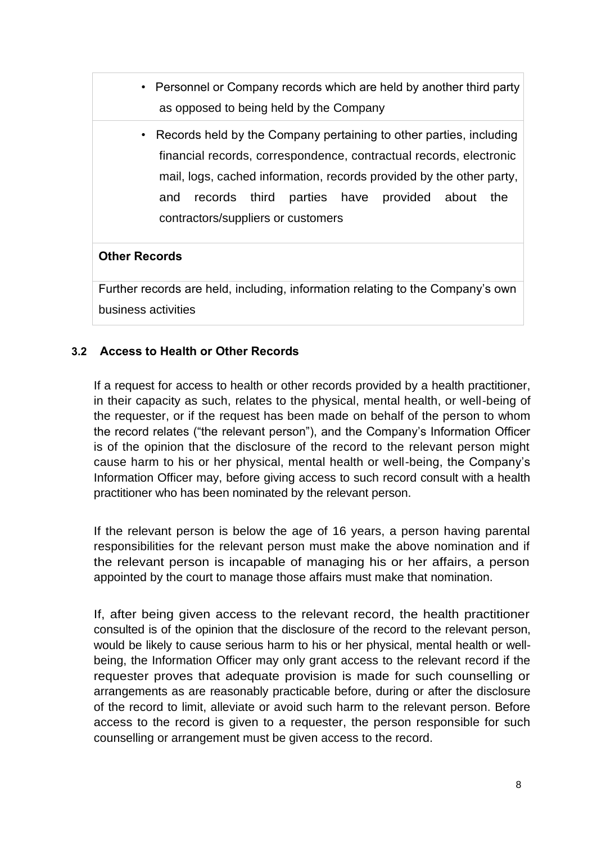- Personnel or Company records which are held by another third party as opposed to being held by the Company
	- Records held by the Company pertaining to other parties, including financial records, correspondence, contractual records, electronic mail, logs, cached information, records provided by the other party, and records third parties have provided about the contractors/suppliers or customers

#### **Other Records**

Further records are held, including, information relating to the Company's own business activities

### **3.2 Access to Health or Other Records**

If a request for access to health or other records provided by a health practitioner, in their capacity as such, relates to the physical, mental health, or well-being of the requester, or if the request has been made on behalf of the person to whom the record relates ("the relevant person"), and the Company's Information Officer is of the opinion that the disclosure of the record to the relevant person might cause harm to his or her physical, mental health or well-being, the Company's Information Officer may, before giving access to such record consult with a health practitioner who has been nominated by the relevant person.

If the relevant person is below the age of 16 years, a person having parental responsibilities for the relevant person must make the above nomination and if the relevant person is incapable of managing his or her affairs, a person appointed by the court to manage those affairs must make that nomination.

If, after being given access to the relevant record, the health practitioner consulted is of the opinion that the disclosure of the record to the relevant person, would be likely to cause serious harm to his or her physical, mental health or wellbeing, the Information Officer may only grant access to the relevant record if the requester proves that adequate provision is made for such counselling or arrangements as are reasonably practicable before, during or after the disclosure of the record to limit, alleviate or avoid such harm to the relevant person. Before access to the record is given to a requester, the person responsible for such counselling or arrangement must be given access to the record.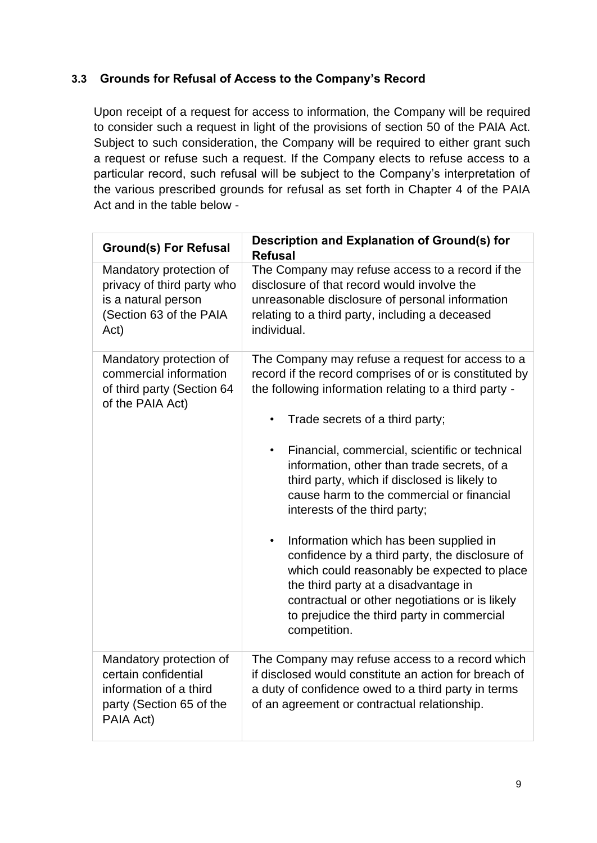## **3.3 Grounds for Refusal of Access to the Company's Record**

Upon receipt of a request for access to information, the Company will be required to consider such a request in light of the provisions of section 50 of the PAIA Act. Subject to such consideration, the Company will be required to either grant such a request or refuse such a request. If the Company elects to refuse access to a particular record, such refusal will be subject to the Company's interpretation of the various prescribed grounds for refusal as set forth in Chapter 4 of the PAIA Act and in the table below -

| <b>Ground(s) For Refusal</b>                                                                                       | Description and Explanation of Ground(s) for<br><b>Refusal</b>                                                                                                                                                                                                                                                                                                                                                                                                                                                                                                                                                                                                                                                                                                     |  |  |  |  |
|--------------------------------------------------------------------------------------------------------------------|--------------------------------------------------------------------------------------------------------------------------------------------------------------------------------------------------------------------------------------------------------------------------------------------------------------------------------------------------------------------------------------------------------------------------------------------------------------------------------------------------------------------------------------------------------------------------------------------------------------------------------------------------------------------------------------------------------------------------------------------------------------------|--|--|--|--|
| Mandatory protection of<br>privacy of third party who<br>is a natural person<br>(Section 63 of the PAIA<br>Act)    | The Company may refuse access to a record if the<br>disclosure of that record would involve the<br>unreasonable disclosure of personal information<br>relating to a third party, including a deceased<br>individual.                                                                                                                                                                                                                                                                                                                                                                                                                                                                                                                                               |  |  |  |  |
| Mandatory protection of<br>commercial information<br>of third party (Section 64<br>of the PAIA Act)                | The Company may refuse a request for access to a<br>record if the record comprises of or is constituted by<br>the following information relating to a third party -<br>Trade secrets of a third party;<br>Financial, commercial, scientific or technical<br>$\bullet$<br>information, other than trade secrets, of a<br>third party, which if disclosed is likely to<br>cause harm to the commercial or financial<br>interests of the third party;<br>Information which has been supplied in<br>$\bullet$<br>confidence by a third party, the disclosure of<br>which could reasonably be expected to place<br>the third party at a disadvantage in<br>contractual or other negotiations or is likely<br>to prejudice the third party in commercial<br>competition. |  |  |  |  |
| Mandatory protection of<br>certain confidential<br>information of a third<br>party (Section 65 of the<br>PAIA Act) | The Company may refuse access to a record which<br>if disclosed would constitute an action for breach of<br>a duty of confidence owed to a third party in terms<br>of an agreement or contractual relationship.                                                                                                                                                                                                                                                                                                                                                                                                                                                                                                                                                    |  |  |  |  |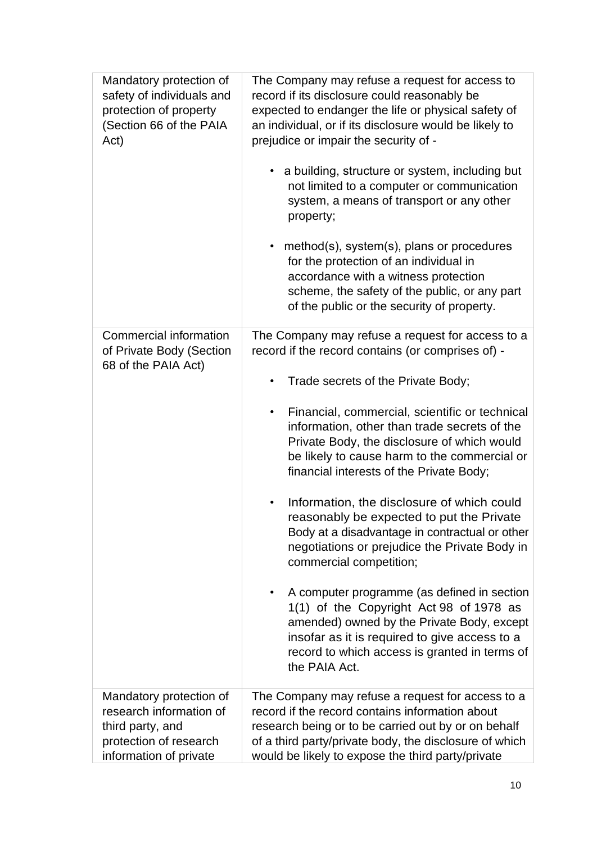| Mandatory protection of<br>safety of individuals and<br>protection of property<br>(Section 66 of the PAIA<br>Act)          | The Company may refuse a request for access to<br>record if its disclosure could reasonably be<br>expected to endanger the life or physical safety of<br>an individual, or if its disclosure would be likely to<br>prejudice or impair the security of -<br>a building, structure or system, including but<br>$\bullet$<br>not limited to a computer or communication<br>system, a means of transport or any other<br>property;<br>method(s), system(s), plans or procedures<br>for the protection of an individual in<br>accordance with a witness protection<br>scheme, the safety of the public, or any part<br>of the public or the security of property.                                                                                                                                                                                                                             |
|----------------------------------------------------------------------------------------------------------------------------|-------------------------------------------------------------------------------------------------------------------------------------------------------------------------------------------------------------------------------------------------------------------------------------------------------------------------------------------------------------------------------------------------------------------------------------------------------------------------------------------------------------------------------------------------------------------------------------------------------------------------------------------------------------------------------------------------------------------------------------------------------------------------------------------------------------------------------------------------------------------------------------------|
| Commercial information<br>of Private Body (Section<br>68 of the PAIA Act)                                                  | The Company may refuse a request for access to a<br>record if the record contains (or comprises of) -<br>Trade secrets of the Private Body;<br>Financial, commercial, scientific or technical<br>$\bullet$<br>information, other than trade secrets of the<br>Private Body, the disclosure of which would<br>be likely to cause harm to the commercial or<br>financial interests of the Private Body;<br>Information, the disclosure of which could<br>reasonably be expected to put the Private<br>Body at a disadvantage in contractual or other<br>negotiations or prejudice the Private Body in<br>commercial competition;<br>A computer programme (as defined in section<br>1(1) of the Copyright Act 98 of 1978 as<br>amended) owned by the Private Body, except<br>insofar as it is required to give access to a<br>record to which access is granted in terms of<br>the PAIA Act. |
| Mandatory protection of<br>research information of<br>third party, and<br>protection of research<br>information of private | The Company may refuse a request for access to a<br>record if the record contains information about<br>research being or to be carried out by or on behalf<br>of a third party/private body, the disclosure of which<br>would be likely to expose the third party/private                                                                                                                                                                                                                                                                                                                                                                                                                                                                                                                                                                                                                 |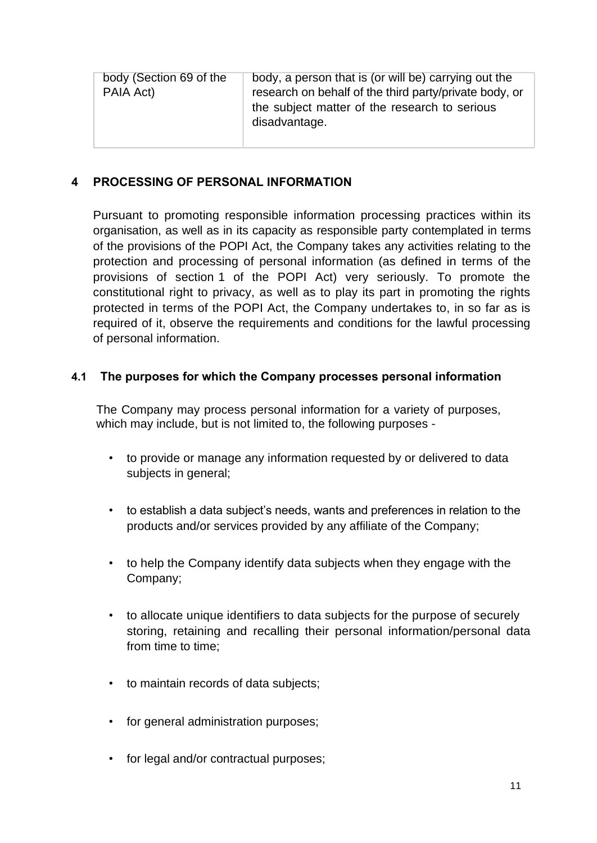| body (Section 69 of the<br>PAIA Act) | body, a person that is (or will be) carrying out the<br>research on behalf of the third party/private body, or<br>the subject matter of the research to serious<br>disadvantage. |
|--------------------------------------|----------------------------------------------------------------------------------------------------------------------------------------------------------------------------------|
|                                      |                                                                                                                                                                                  |

## **4 PROCESSING OF PERSONAL INFORMATION**

Pursuant to promoting responsible information processing practices within its organisation, as well as in its capacity as responsible party contemplated in terms of the provisions of the POPI Act, the Company takes any activities relating to the protection and processing of personal information (as defined in terms of the provisions of section 1 of the POPI Act) very seriously. To promote the constitutional right to privacy, as well as to play its part in promoting the rights protected in terms of the POPI Act, the Company undertakes to, in so far as is required of it, observe the requirements and conditions for the lawful processing of personal information.

#### **4.1 The purposes for which the Company processes personal information**

The Company may process personal information for a variety of purposes, which may include, but is not limited to, the following purposes -

- to provide or manage any information requested by or delivered to data subjects in general;
- to establish a data subject's needs, wants and preferences in relation to the products and/or services provided by any affiliate of the Company;
- to help the Company identify data subjects when they engage with the Company;
- to allocate unique identifiers to data subjects for the purpose of securely storing, retaining and recalling their personal information/personal data from time to time;
- to maintain records of data subjects;
- for general administration purposes;
- for legal and/or contractual purposes;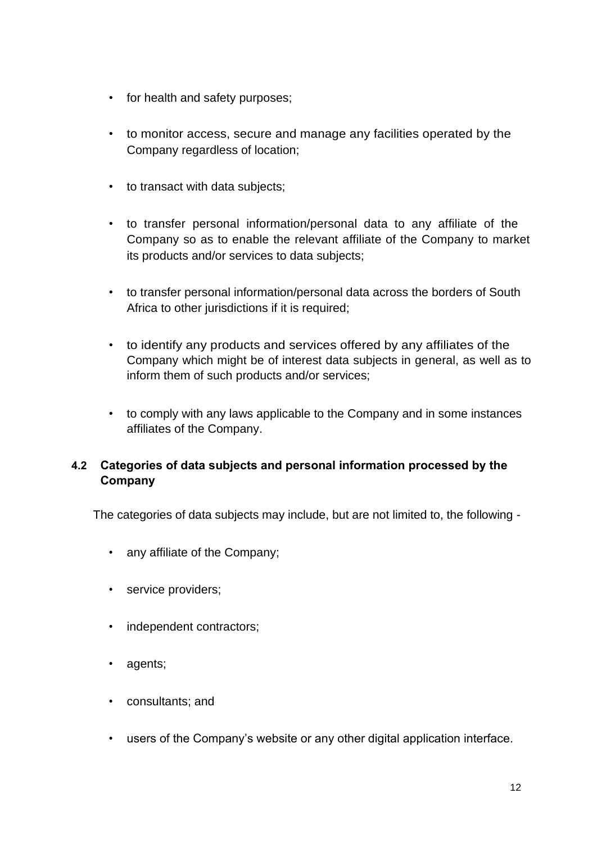- for health and safety purposes;
- to monitor access, secure and manage any facilities operated by the Company regardless of location;
- to transact with data subjects;
- to transfer personal information/personal data to any affiliate of the Company so as to enable the relevant affiliate of the Company to market its products and/or services to data subjects;
- to transfer personal information/personal data across the borders of South Africa to other jurisdictions if it is required;
- to identify any products and services offered by any affiliates of the Company which might be of interest data subjects in general, as well as to inform them of such products and/or services;
- to comply with any laws applicable to the Company and in some instances affiliates of the Company.

## **4.2 Categories of data subjects and personal information processed by the Company**

The categories of data subjects may include, but are not limited to, the following -

- any affiliate of the Company;
- service providers;
- independent contractors;
- agents;
- consultants; and
- users of the Company's website or any other digital application interface.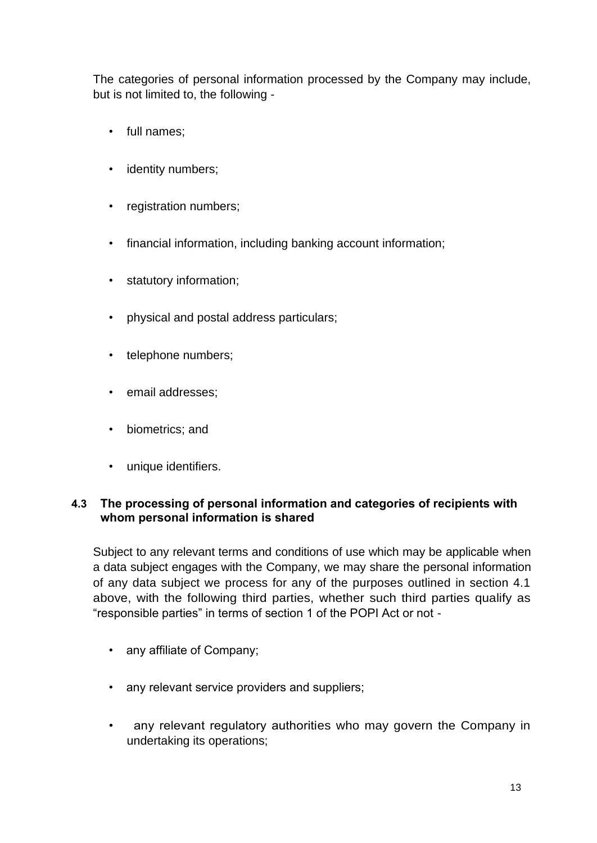The categories of personal information processed by the Company may include, but is not limited to, the following -

- full names;
- identity numbers;
- registration numbers;
- financial information, including banking account information;
- statutory information;
- physical and postal address particulars;
- telephone numbers;
- email addresses;
- biometrics; and
- unique identifiers.

### **4.3 The processing of personal information and categories of recipients with whom personal information is shared**

Subject to any relevant terms and conditions of use which may be applicable when a data subject engages with the Company, we may share the personal information of any data subject we process for any of the purposes outlined in section 4.1 above, with the following third parties, whether such third parties qualify as "responsible parties" in terms of section 1 of the POPI Act or not -

- any affiliate of Company;
- any relevant service providers and suppliers;
- any relevant regulatory authorities who may govern the Company in undertaking its operations;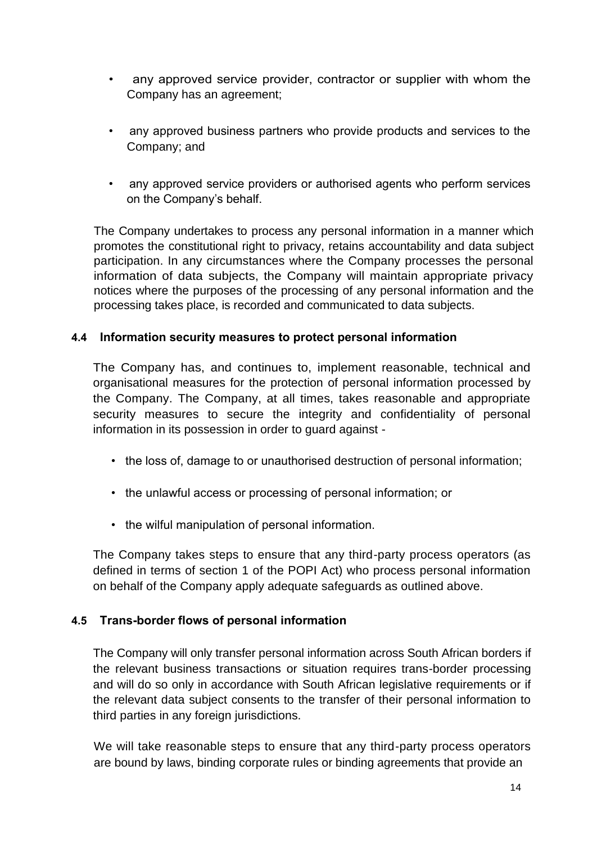- any approved service provider, contractor or supplier with whom the Company has an agreement;
- any approved business partners who provide products and services to the Company; and
- any approved service providers or authorised agents who perform services on the Company's behalf.

The Company undertakes to process any personal information in a manner which promotes the constitutional right to privacy, retains accountability and data subject participation. In any circumstances where the Company processes the personal information of data subjects, the Company will maintain appropriate privacy notices where the purposes of the processing of any personal information and the processing takes place, is recorded and communicated to data subjects.

### **4.4 Information security measures to protect personal information**

The Company has, and continues to, implement reasonable, technical and organisational measures for the protection of personal information processed by the Company. The Company, at all times, takes reasonable and appropriate security measures to secure the integrity and confidentiality of personal information in its possession in order to guard against -

- the loss of, damage to or unauthorised destruction of personal information;
- the unlawful access or processing of personal information; or
- the wilful manipulation of personal information.

The Company takes steps to ensure that any third-party process operators (as defined in terms of section 1 of the POPI Act) who process personal information on behalf of the Company apply adequate safeguards as outlined above.

### **4.5 Trans-border flows of personal information**

The Company will only transfer personal information across South African borders if the relevant business transactions or situation requires trans-border processing and will do so only in accordance with South African legislative requirements or if the relevant data subject consents to the transfer of their personal information to third parties in any foreign jurisdictions.

We will take reasonable steps to ensure that any third-party process operators are bound by laws, binding corporate rules or binding agreements that provide an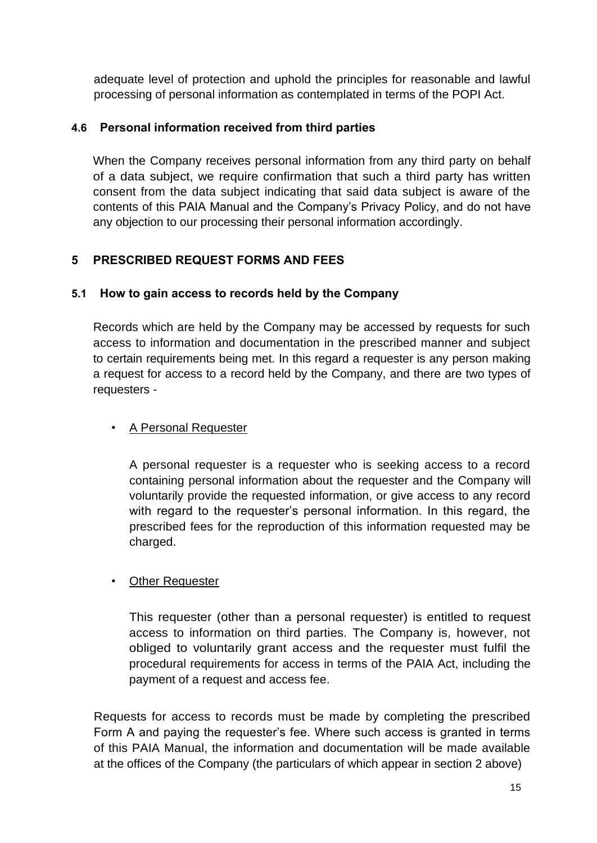adequate level of protection and uphold the principles for reasonable and lawful processing of personal information as contemplated in terms of the POPI Act.

### **4.6 Personal information received from third parties**

When the Company receives personal information from any third party on behalf of a data subject, we require confirmation that such a third party has written consent from the data subject indicating that said data subject is aware of the contents of this PAIA Manual and the Company's Privacy Policy, and do not have any objection to our processing their personal information accordingly.

## **5 PRESCRIBED REQUEST FORMS AND FEES**

### **5.1 How to gain access to records held by the Company**

Records which are held by the Company may be accessed by requests for such access to information and documentation in the prescribed manner and subject to certain requirements being met. In this regard a requester is any person making a request for access to a record held by the Company, and there are two types of requesters -

### • A Personal Requester

A personal requester is a requester who is seeking access to a record containing personal information about the requester and the Company will voluntarily provide the requested information, or give access to any record with regard to the requester's personal information. In this regard, the prescribed fees for the reproduction of this information requested may be charged.

### • Other Requester

This requester (other than a personal requester) is entitled to request access to information on third parties. The Company is, however, not obliged to voluntarily grant access and the requester must fulfil the procedural requirements for access in terms of the PAIA Act, including the payment of a request and access fee.

Requests for access to records must be made by completing the prescribed Form A and paying the requester's fee. Where such access is granted in terms of this PAIA Manual, the information and documentation will be made available at the offices of the Company (the particulars of which appear in section 2 above)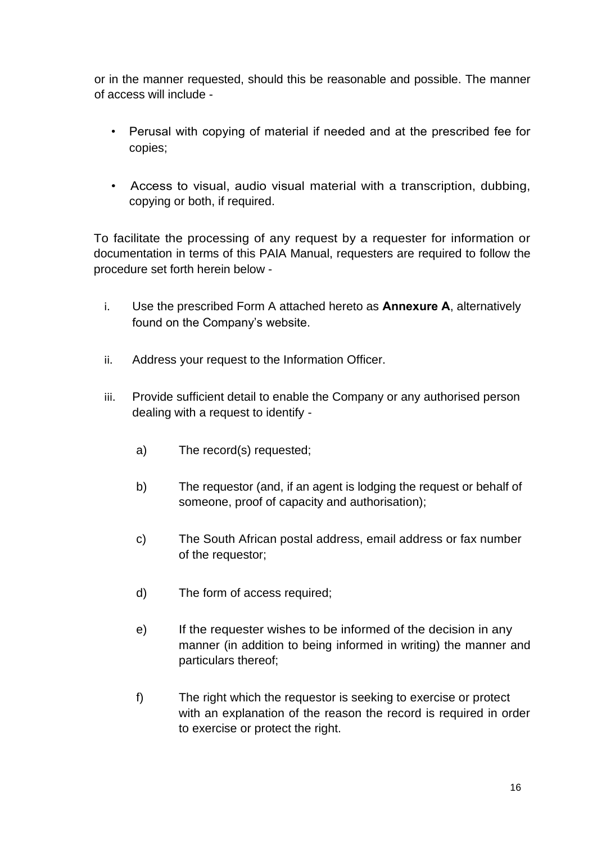or in the manner requested, should this be reasonable and possible. The manner of access will include -

- Perusal with copying of material if needed and at the prescribed fee for copies;
- Access to visual, audio visual material with a transcription, dubbing, copying or both, if required.

To facilitate the processing of any request by a requester for information or documentation in terms of this PAIA Manual, requesters are required to follow the procedure set forth herein below -

- i. Use the prescribed Form A attached hereto as **Annexure A**, alternatively found on the Company's website.
- ii. Address your request to the Information Officer.
- iii. Provide sufficient detail to enable the Company or any authorised person dealing with a request to identify
	- a) The record(s) requested;
	- b) The requestor (and, if an agent is lodging the request or behalf of someone, proof of capacity and authorisation);
	- c) The South African postal address, email address or fax number of the requestor;
	- d) The form of access required;
	- e) If the requester wishes to be informed of the decision in any manner (in addition to being informed in writing) the manner and particulars thereof;
	- f) The right which the requestor is seeking to exercise or protect with an explanation of the reason the record is required in order to exercise or protect the right.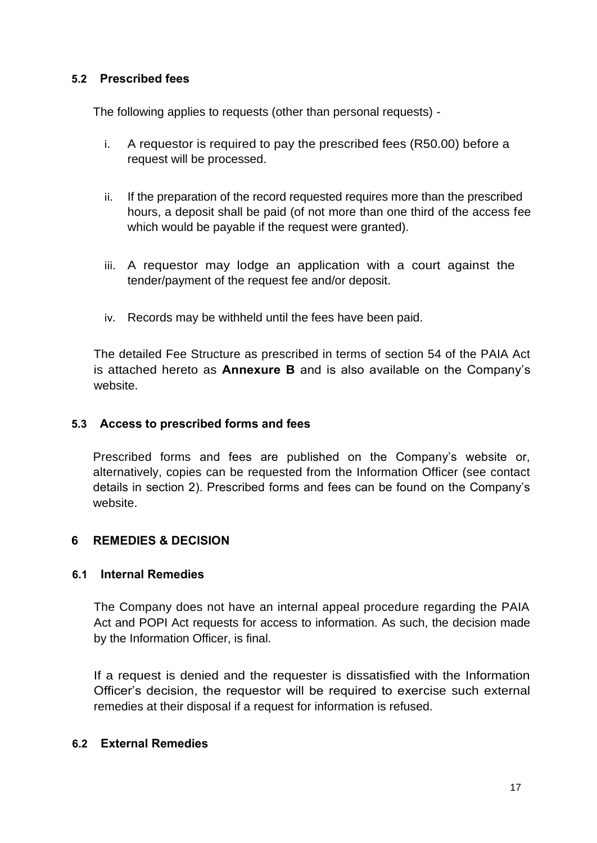#### **5.2 Prescribed fees**

The following applies to requests (other than personal requests) -

- i. A requestor is required to pay the prescribed fees (R50.00) before a request will be processed.
- ii. If the preparation of the record requested requires more than the prescribed hours, a deposit shall be paid (of not more than one third of the access fee which would be payable if the request were granted).
- iii. A requestor may lodge an application with a court against the tender/payment of the request fee and/or deposit.
- iv. Records may be withheld until the fees have been paid.

The detailed Fee Structure as prescribed in terms of section 54 of the PAIA Act is attached hereto as **Annexure B** and is also available on the Company's website.

#### **5.3 Access to prescribed forms and fees**

Prescribed forms and fees are published on the Company's website or, alternatively, copies can be requested from the Information Officer (see contact details in section 2). Prescribed forms and fees can be found on the Company's website.

### **6 REMEDIES & DECISION**

#### **6.1 Internal Remedies**

The Company does not have an internal appeal procedure regarding the PAIA Act and POPI Act requests for access to information. As such, the decision made by the Information Officer, is final.

If a request is denied and the requester is dissatisfied with the Information Officer's decision, the requestor will be required to exercise such external remedies at their disposal if a request for information is refused.

#### **6.2 External Remedies**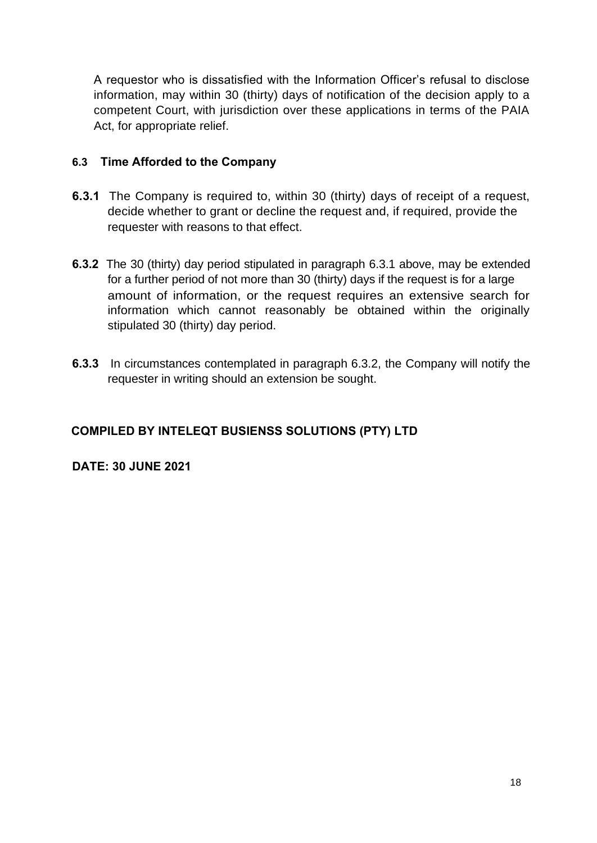A requestor who is dissatisfied with the Information Officer's refusal to disclose information, may within 30 (thirty) days of notification of the decision apply to a competent Court, with jurisdiction over these applications in terms of the PAIA Act, for appropriate relief.

### **6.3 Time Afforded to the Company**

- **6.3.1** The Company is required to, within 30 (thirty) days of receipt of a request, decide whether to grant or decline the request and, if required, provide the requester with reasons to that effect.
- **6.3.2** The 30 (thirty) day period stipulated in paragraph 6.3.1 above, may be extended for a further period of not more than 30 (thirty) days if the request is for a large amount of information, or the request requires an extensive search for information which cannot reasonably be obtained within the originally stipulated 30 (thirty) day period.
- **6.3.3** In circumstances contemplated in paragraph 6.3.2, the Company will notify the requester in writing should an extension be sought.

## **COMPILED BY INTELEQT BUSIENSS SOLUTIONS (PTY) LTD**

#### **DATE: 30 JUNE 2021**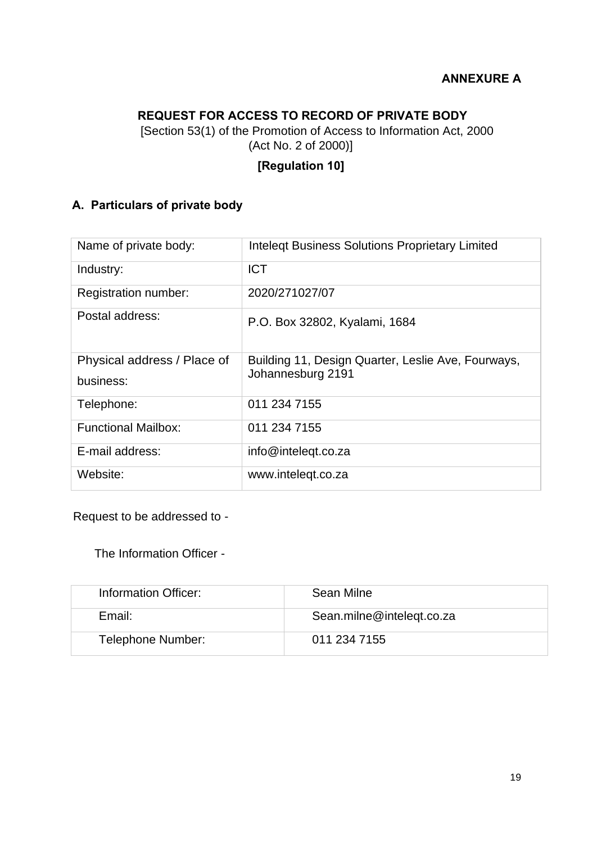## **ANNEXURE A**

# **REQUEST FOR ACCESS TO RECORD OF PRIVATE BODY**

[Section 53(1) of the Promotion of Access to Information Act, 2000 (Act No. 2 of 2000)]

# **[Regulation 10]**

# **A. Particulars of private body**

| Name of private body:                    | <b>Intelegt Business Solutions Proprietary Limited</b>                  |
|------------------------------------------|-------------------------------------------------------------------------|
| Industry:                                | <b>ICT</b>                                                              |
| Registration number:                     | 2020/271027/07                                                          |
| Postal address:                          | P.O. Box 32802, Kyalami, 1684                                           |
| Physical address / Place of<br>business: | Building 11, Design Quarter, Leslie Ave, Fourways,<br>Johannesburg 2191 |
| Telephone:                               | 011 234 7155                                                            |
| <b>Functional Mailbox:</b>               | 011 234 7155                                                            |
| E-mail address:                          | info@inteleqt.co.za                                                     |
| Website:                                 | www.intelegt.co.za                                                      |

Request to be addressed to -

The Information Officer -

| Information Officer: | Sean Milne                |
|----------------------|---------------------------|
| Email:               | Sean.milne@inteleqt.co.za |
| Telephone Number:    | 011 234 7155              |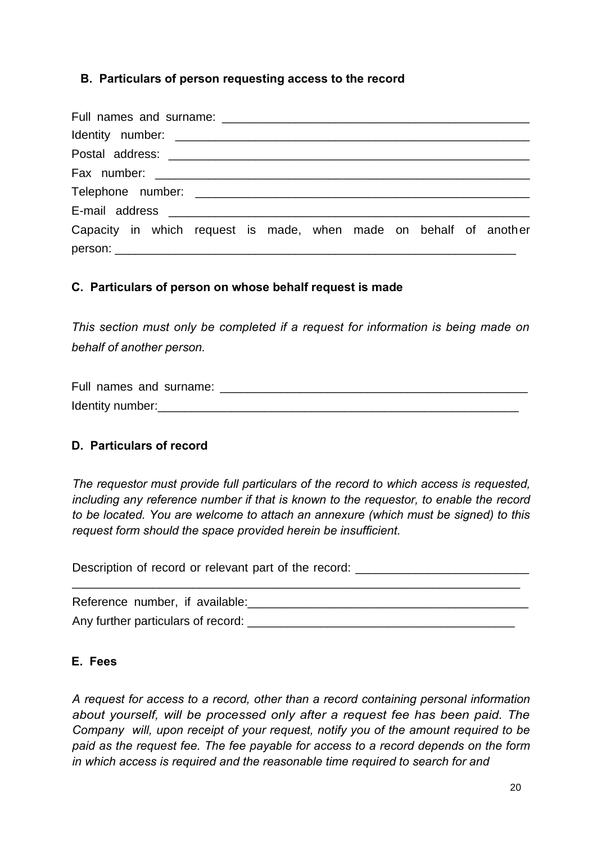### **B. Particulars of person requesting access to the record**

| Capacity in which request is made, when made on behalf of another |
|-------------------------------------------------------------------|
|                                                                   |

### **C. Particulars of person on whose behalf request is made**

*This section must only be completed if a request for information is being made on behalf of another person.* 

Full names and surname:  $\Box$ Identity number:

#### **D. Particulars of record**

*The requestor must provide full particulars of the record to which access is requested, including any reference number if that is known to the requestor, to enable the record to be located. You are welcome to attach an annexure (which must be signed) to this request form should the space provided herein be insufficient.* 

Description of record or relevant part of the record:

\_\_\_\_\_\_\_\_\_\_\_\_\_\_\_\_\_\_\_\_\_\_\_\_\_\_\_\_\_\_\_\_\_\_\_\_\_\_\_\_\_\_\_\_\_\_\_\_\_\_\_\_\_\_\_\_\_\_\_\_\_\_\_\_\_\_\_

Reference number, if available:\_\_\_\_\_\_\_\_\_\_\_\_\_\_\_\_\_\_\_\_\_\_\_\_\_\_\_\_\_\_\_\_\_\_\_\_\_\_\_\_\_\_ Any further particulars of record: \_\_\_\_\_\_\_\_\_\_\_\_\_\_\_\_\_\_\_\_\_\_\_\_\_\_\_\_\_\_\_\_\_\_\_\_\_\_\_\_

#### **E. Fees**

*A request for access to a record, other than a record containing personal information about yourself, will be processed only after a request fee has been paid. The Company will, upon receipt of your request, notify you of the amount required to be paid as the request fee. The fee payable for access to a record depends on the form in which access is required and the reasonable time required to search for and*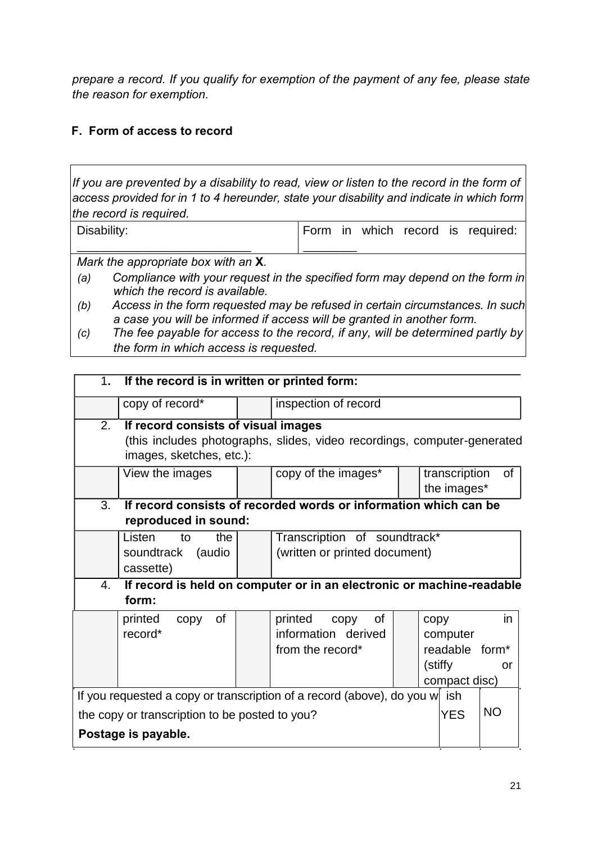*prepare a record. If you qualify for exemption of the payment of any fee, please state the reason for exemption.* 

## **F. Form of access to record**

*If you are prevented by a disability to read, view or listen to the record in the form of access provided for in 1 to 4 hereunder, state your disability and indicate in which form the record is required.*

| Disability: |  |  | Form in which record is required: |
|-------------|--|--|-----------------------------------|
|             |  |  |                                   |

*Mark the appropriate box with an* **X***.*

- *(a) Compliance with your request in the specified form may depend on the form in which the record is available.*
- *(b) Access in the form requested may be refused in certain circumstances. In such a case you will be informed if access will be granted in another form.*
- *(c) The fee payable for access to the record, if any, will be determined partly by the form in which access is requested.*

|                                                                                                  | 1. If the record is in written or printed form:                                                                                             |  |                                                                       |  |                                                                            |           |
|--------------------------------------------------------------------------------------------------|---------------------------------------------------------------------------------------------------------------------------------------------|--|-----------------------------------------------------------------------|--|----------------------------------------------------------------------------|-----------|
|                                                                                                  | copy of record*                                                                                                                             |  | inspection of record                                                  |  |                                                                            |           |
| $\overline{2}$ .                                                                                 | If record consists of visual images<br>(this includes photographs, slides, video recordings, computer-generated<br>images, sketches, etc.): |  |                                                                       |  |                                                                            |           |
|                                                                                                  | View the images                                                                                                                             |  | copy of the images*                                                   |  | transcription<br>the images*                                               | 0f        |
| If record consists of recorded words or information which can be<br>3.<br>reproduced in sound:   |                                                                                                                                             |  |                                                                       |  |                                                                            |           |
|                                                                                                  | Listen<br>the<br>to<br>soundtrack<br>(audio<br>cassette)                                                                                    |  | Transcription of soundtrack*<br>(written or printed document)         |  |                                                                            |           |
| 4.                                                                                               | form:                                                                                                                                       |  | If record is held on computer or in an electronic or machine-readable |  |                                                                            |           |
|                                                                                                  | printed<br>0f<br>copy<br>record*                                                                                                            |  | printed<br>0f<br>copy<br>information derived<br>from the record*      |  | copy<br>computer<br>readable form <sup>*</sup><br>(stiffy<br>compact disc) | in.<br>or |
| If you requested a copy or transcription of a record (above), do you w ish                       |                                                                                                                                             |  |                                                                       |  |                                                                            |           |
| <b>NO</b><br><b>YES</b><br>the copy or transcription to be posted to you?<br>Postage is payable. |                                                                                                                                             |  |                                                                       |  |                                                                            |           |
|                                                                                                  |                                                                                                                                             |  |                                                                       |  |                                                                            |           |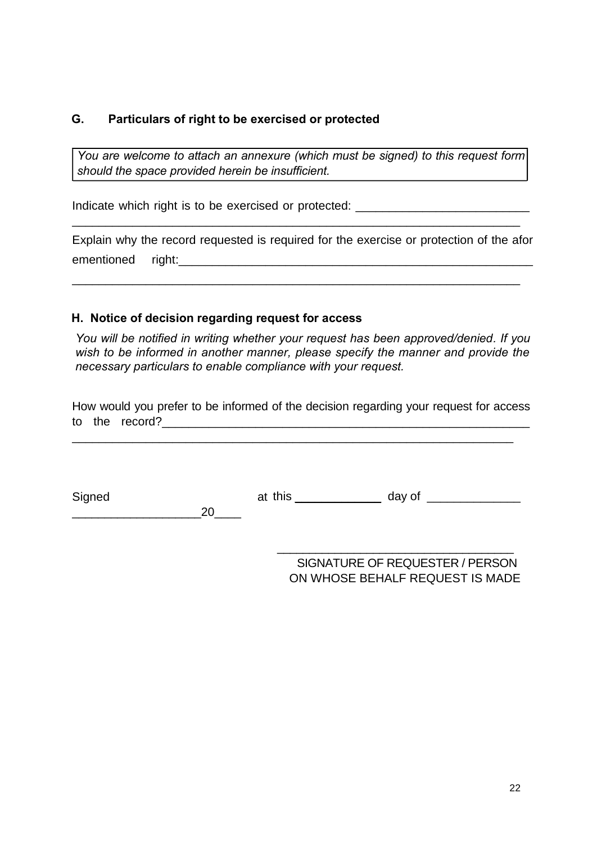#### **G. Particulars of right to be exercised or protected**

*You are welcome to attach an annexure (which must be signed) to this request form should the space provided herein be insufficient.* 

Indicate which right is to be exercised or protected: \_\_\_\_\_\_\_\_\_\_\_\_\_\_\_\_\_\_\_\_\_\_\_\_\_\_

Explain why the record requested is required for the exercise or protection of the afor ementioned right: emergency and  $\mathbf{r}$  and  $\mathbf{r}$  and  $\mathbf{r}$  and  $\mathbf{r}$  and  $\mathbf{r}$  and  $\mathbf{r}$  and  $\mathbf{r}$  and  $\mathbf{r}$  and  $\mathbf{r}$  and  $\mathbf{r}$  and  $\mathbf{r}$  and  $\mathbf{r}$  and  $\mathbf{r}$  and  $\mathbf{r}$  and  $\mathbf{r}$ 

\_\_\_\_\_\_\_\_\_\_\_\_\_\_\_\_\_\_\_\_\_\_\_\_\_\_\_\_\_\_\_\_\_\_\_\_\_\_\_\_\_\_\_\_\_\_\_\_\_\_\_\_\_\_\_\_\_\_\_\_\_\_\_\_\_\_\_

\_\_\_\_\_\_\_\_\_\_\_\_\_\_\_\_\_\_\_\_\_\_\_\_\_\_\_\_\_\_\_\_\_\_\_\_\_\_\_\_\_\_\_\_\_\_\_\_\_\_\_\_\_\_\_\_\_\_\_\_\_\_\_\_\_\_\_

#### **H. Notice of decision regarding request for access**

 $\_20$ 

*You will be notified in writing whether your request has been approved/denied. If you wish to be informed in another manner, please specify the manner and provide the necessary particulars to enable compliance with your request.* 

How would you prefer to be informed of the decision regarding your request for access to the record? The state of the state of  $\sim$ 

\_\_\_\_\_\_\_\_\_\_\_\_\_\_\_\_\_\_\_\_\_\_\_\_\_\_\_\_\_\_\_\_\_\_\_\_\_\_\_\_\_\_\_\_\_\_\_\_\_\_\_\_\_\_\_\_\_\_\_\_\_\_\_\_\_\_

Signed

at this \_\_\_\_\_\_\_\_\_\_\_\_\_\_ day of \_\_\_\_\_\_\_\_\_\_\_\_\_\_

SIGNATURE OF REQUESTER / PERSON ON WHOSE BEHALF REQUEST IS MADE

\_\_\_\_\_\_\_\_\_\_\_\_\_\_\_\_\_\_\_\_\_\_\_\_\_\_\_\_\_\_\_\_\_\_\_\_\_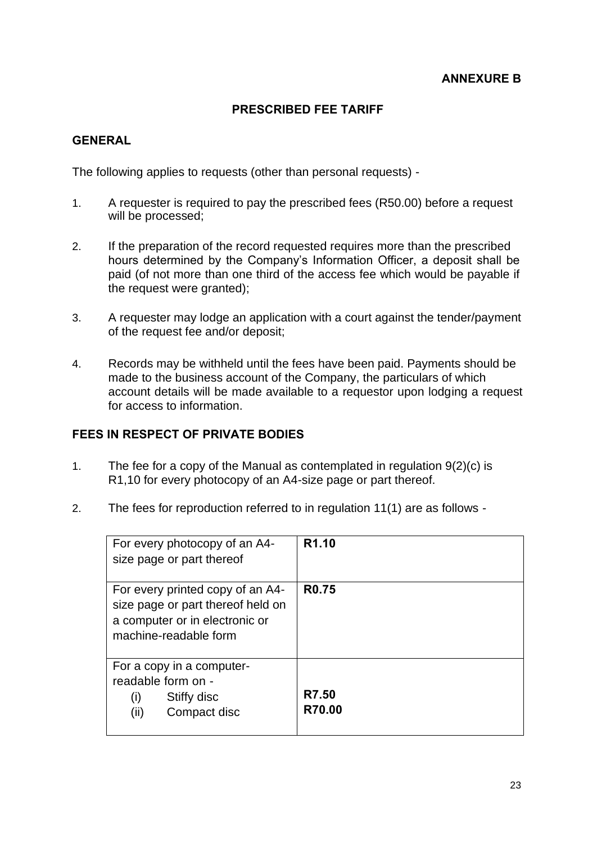#### **PRESCRIBED FEE TARIFF**

#### **GENERAL**

The following applies to requests (other than personal requests) -

- 1. A requester is required to pay the prescribed fees (R50.00) before a request will be processed;
- 2. If the preparation of the record requested requires more than the prescribed hours determined by the Company's Information Officer, a deposit shall be paid (of not more than one third of the access fee which would be payable if the request were granted);
- 3. A requester may lodge an application with a court against the tender/payment of the request fee and/or deposit;
- 4. Records may be withheld until the fees have been paid. Payments should be made to the business account of the Company, the particulars of which account details will be made available to a requestor upon lodging a request for access to information.

### **FEES IN RESPECT OF PRIVATE BODIES**

- 1. The fee for a copy of the Manual as contemplated in regulation 9(2)(c) is R1,10 for every photocopy of an A4-size page or part thereof.
- 2. The fees for reproduction referred to in regulation 11(1) are as follows -

| For every photocopy of an A4-<br>size page or part thereof                                                                       | R <sub>1.10</sub> |
|----------------------------------------------------------------------------------------------------------------------------------|-------------------|
| For every printed copy of an A4-<br>size page or part thereof held on<br>a computer or in electronic or<br>machine-readable form | R <sub>0.75</sub> |
| For a copy in a computer-<br>readable form on -<br>Stiffy disc<br>(i)<br>(ii)<br>Compact disc                                    | R7.50<br>R70.00   |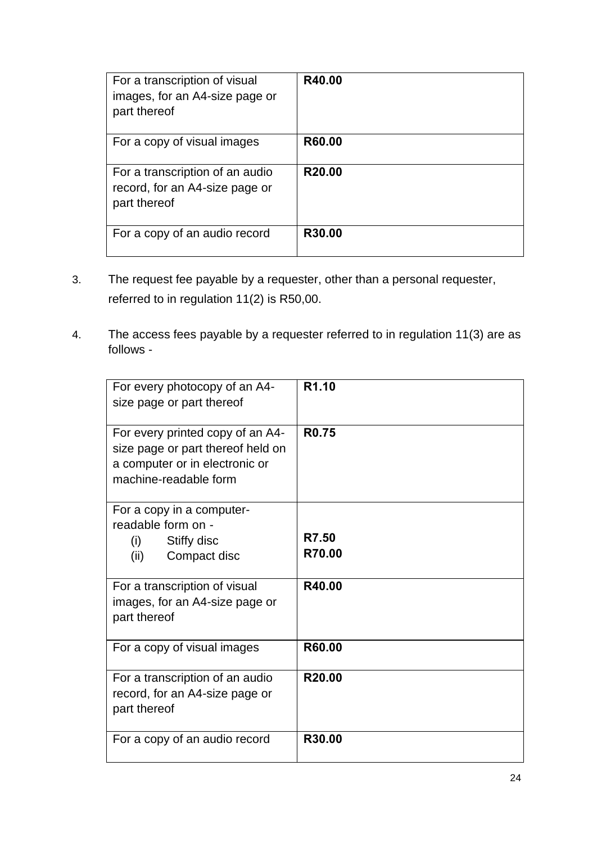| For a transcription of visual<br>images, for an A4-size page or<br>part thereof   | R40.00             |
|-----------------------------------------------------------------------------------|--------------------|
| For a copy of visual images                                                       | R60.00             |
| For a transcription of an audio<br>record, for an A4-size page or<br>part thereof | R <sub>20.00</sub> |
| For a copy of an audio record                                                     | R30.00             |

- 3. The request fee payable by a requester, other than a personal requester, referred to in regulation 11(2) is R50,00.
- 4. The access fees payable by a requester referred to in regulation 11(3) are as follows -

| For every photocopy of an A4-<br>size page or part thereof                                                                       | R <sub>1.10</sub> |
|----------------------------------------------------------------------------------------------------------------------------------|-------------------|
| For every printed copy of an A4-<br>size page or part thereof held on<br>a computer or in electronic or<br>machine-readable form | <b>R0.75</b>      |
| For a copy in a computer-<br>readable form on -<br>Stiffy disc<br>(i)<br>(ii)<br>Compact disc                                    | R7.50<br>R70.00   |
| For a transcription of visual<br>images, for an A4-size page or<br>part thereof                                                  | R40.00            |
| For a copy of visual images                                                                                                      | R60.00            |
| For a transcription of an audio<br>record, for an A4-size page or<br>part thereof                                                | R20.00            |
| For a copy of an audio record                                                                                                    | R30.00            |